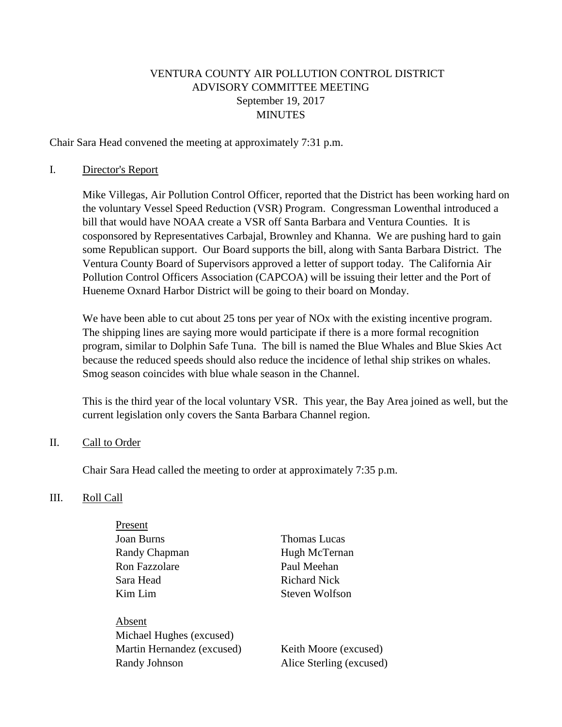### VENTURA COUNTY AIR POLLUTION CONTROL DISTRICT ADVISORY COMMITTEE MEETING September 19, 2017 MINUTES

Chair Sara Head convened the meeting at approximately 7:31 p.m.

#### I. Director's Report

Mike Villegas, Air Pollution Control Officer, reported that the District has been working hard on the voluntary Vessel Speed Reduction (VSR) Program. Congressman Lowenthal introduced a bill that would have NOAA create a VSR off Santa Barbara and Ventura Counties. It is cosponsored by Representatives Carbajal, Brownley and Khanna. We are pushing hard to gain some Republican support. Our Board supports the bill, along with Santa Barbara District. The Ventura County Board of Supervisors approved a letter of support today. The California Air Pollution Control Officers Association (CAPCOA) will be issuing their letter and the Port of Hueneme Oxnard Harbor District will be going to their board on Monday.

We have been able to cut about 25 tons per year of NO<sub>x</sub> with the existing incentive program. The shipping lines are saying more would participate if there is a more formal recognition program, similar to Dolphin Safe Tuna. The bill is named the Blue Whales and Blue Skies Act because the reduced speeds should also reduce the incidence of lethal ship strikes on whales. Smog season coincides with blue whale season in the Channel.

This is the third year of the local voluntary VSR. This year, the Bay Area joined as well, but the current legislation only covers the Santa Barbara Channel region.

#### II. Call to Order

Chair Sara Head called the meeting to order at approximately 7:35 p.m.

#### III. Roll Call

| Present                  |                |
|--------------------------|----------------|
| Joan Burns               | Thomas Lucas   |
| Randy Chapman            | Hugh McTernan  |
| <b>Ron Fazzolare</b>     | Paul Meehan    |
| Sara Head                | Richard Nick   |
| Kim Lim                  | Steven Wolfson |
|                          |                |
| Absent                   |                |
| Michael Hughes (excused) |                |
|                          |                |

Martin Hernandez (excused) Keith Moore (excused) Randy Johnson Alice Sterling (excused)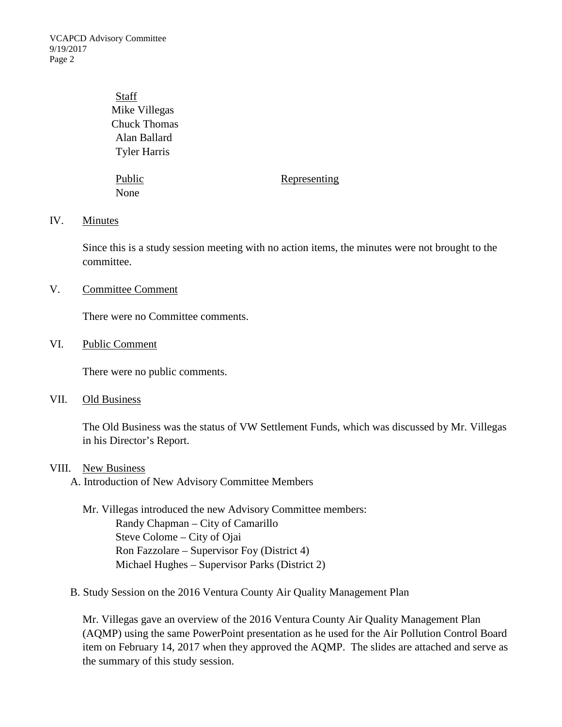VCAPCD Advisory Committee 9/19/2017 Page 2

## Staff Mike Villegas Chuck Thomas Alan Ballard Tyler Harris

None

#### Public Representing

#### IV. Minutes

Since this is a study session meeting with no action items, the minutes were not brought to the committee.

#### V. Committee Comment

There were no Committee comments.

#### VI. Public Comment

There were no public comments.

#### VII. Old Business

The Old Business was the status of VW Settlement Funds, which was discussed by Mr. Villegas in his Director's Report.

#### VIII. New Business

A. Introduction of New Advisory Committee Members

Mr. Villegas introduced the new Advisory Committee members: Randy Chapman – City of Camarillo Steve Colome – City of Ojai Ron Fazzolare – Supervisor Foy (District 4) Michael Hughes – Supervisor Parks (District 2)

B. Study Session on the 2016 Ventura County Air Quality Management Plan

Mr. Villegas gave an overview of the 2016 Ventura County Air Quality Management Plan (AQMP) using the same PowerPoint presentation as he used for the Air Pollution Control Board item on February 14, 2017 when they approved the AQMP. The slides are attached and serve as the summary of this study session.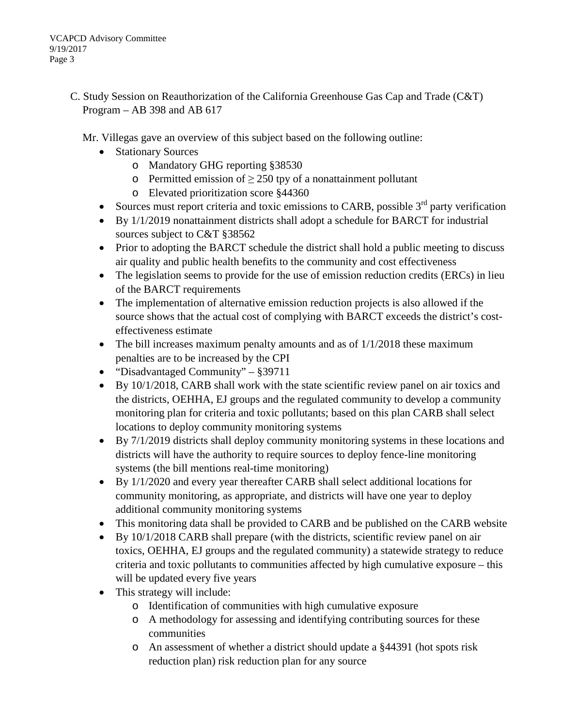C. Study Session on Reauthorization of the California Greenhouse Gas Cap and Trade (C&T) Program – AB 398 and AB 617

Mr. Villegas gave an overview of this subject based on the following outline:

- Stationary Sources
	- o Mandatory GHG reporting §38530
	- o Permitted emission of  $> 250$  tpy of a nonattainment pollutant
	- o Elevated prioritization score §44360
- Sources must report criteria and toxic emissions to CARB, possible  $3<sup>rd</sup>$  party verification
- By 1/1/2019 nonattainment districts shall adopt a schedule for BARCT for industrial sources subject to C&T §38562
- Prior to adopting the BARCT schedule the district shall hold a public meeting to discuss air quality and public health benefits to the community and cost effectiveness
- The legislation seems to provide for the use of emission reduction credits (ERCs) in lieu of the BARCT requirements
- The implementation of alternative emission reduction projects is also allowed if the source shows that the actual cost of complying with BARCT exceeds the district's costeffectiveness estimate
- The bill increases maximum penalty amounts and as of  $1/1/2018$  these maximum penalties are to be increased by the CPI
- "Disadvantaged Community"  $§ 39711$
- By 10/1/2018, CARB shall work with the state scientific review panel on air toxics and the districts, OEHHA, EJ groups and the regulated community to develop a community monitoring plan for criteria and toxic pollutants; based on this plan CARB shall select locations to deploy community monitoring systems
- By 7/1/2019 districts shall deploy community monitoring systems in these locations and districts will have the authority to require sources to deploy fence-line monitoring systems (the bill mentions real-time monitoring)
- By 1/1/2020 and every year thereafter CARB shall select additional locations for community monitoring, as appropriate, and districts will have one year to deploy additional community monitoring systems
- This monitoring data shall be provided to CARB and be published on the CARB website
- By 10/1/2018 CARB shall prepare (with the districts, scientific review panel on air toxics, OEHHA, EJ groups and the regulated community) a statewide strategy to reduce criteria and toxic pollutants to communities affected by high cumulative exposure – this will be updated every five years
- This strategy will include:
	- o Identification of communities with high cumulative exposure
	- o A methodology for assessing and identifying contributing sources for these communities
	- o An assessment of whether a district should update a §44391 (hot spots risk reduction plan) risk reduction plan for any source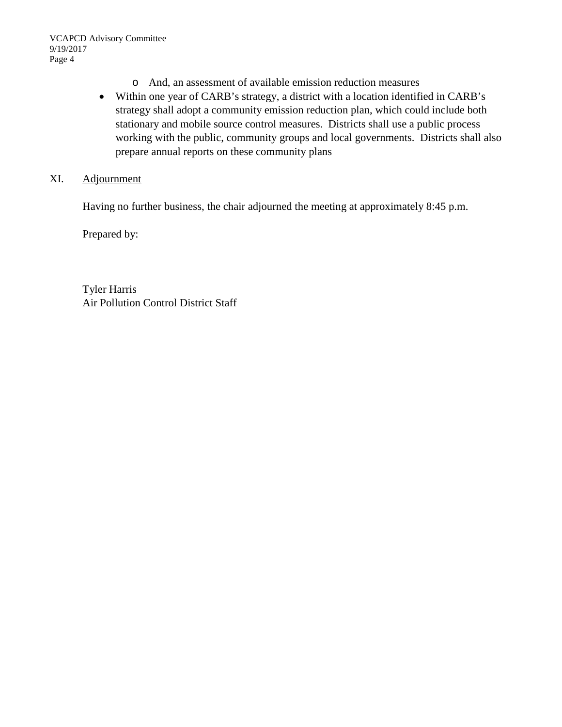- o And, an assessment of available emission reduction measures
- Within one year of CARB's strategy, a district with a location identified in CARB's strategy shall adopt a community emission reduction plan, which could include both stationary and mobile source control measures. Districts shall use a public process working with the public, community groups and local governments. Districts shall also prepare annual reports on these community plans
- XI. Adjournment

Having no further business, the chair adjourned the meeting at approximately 8:45 p.m.

Prepared by:

Tyler Harris Air Pollution Control District Staff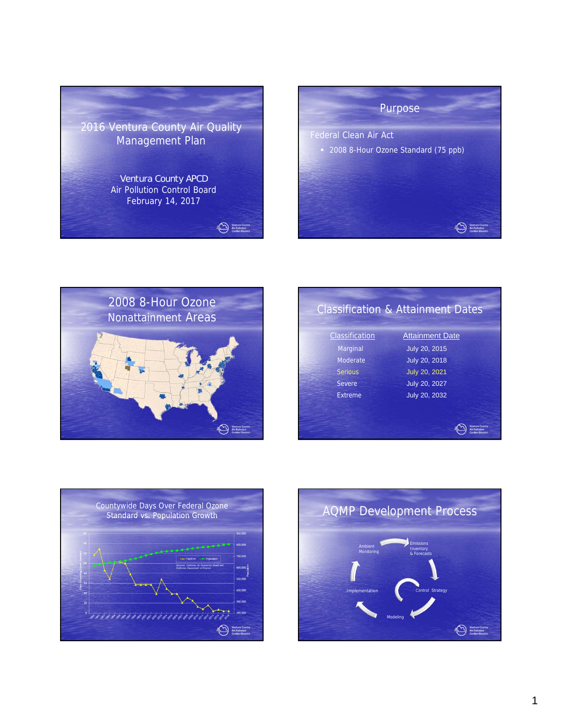





| July 20, 2015<br>Marginal<br><b>July 20, 2018</b><br>Moderate<br>July 20, 2021<br><b>Serious</b><br>July 20, 2027<br>Severe | Classification | <b>Attainment Date</b> |
|-----------------------------------------------------------------------------------------------------------------------------|----------------|------------------------|
|                                                                                                                             |                |                        |
|                                                                                                                             |                |                        |
|                                                                                                                             |                |                        |
|                                                                                                                             |                |                        |
|                                                                                                                             | Extreme        | July 20, 2032          |



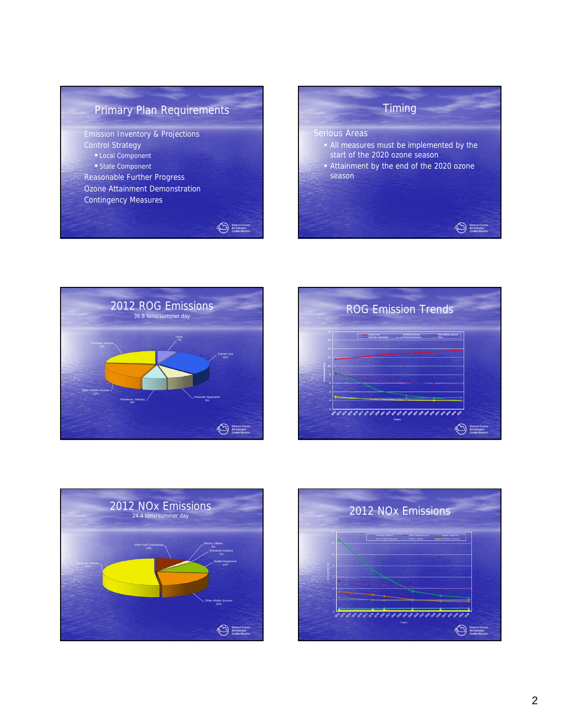# Primary Plan Requirements

Ventura County<br>Air Pollution<br>Control District

Emission Inventory & Projections Control Strategy Local Component State Component Reasonable Further Progress Ozone Attainment Demonstration Contingency Measures









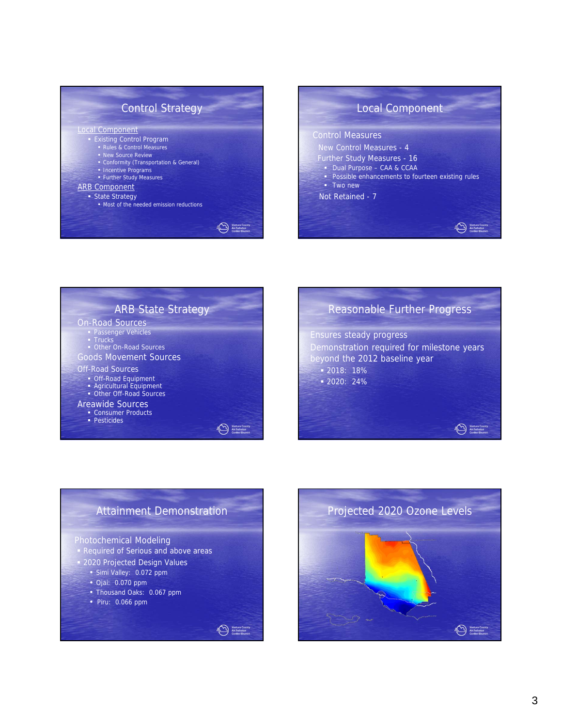







Ventura Coun

# Attainment Demonstration

Ventura Cour<br>Air Pollution<br>Control Distr

#### Photochemical Modeling

- **Required of Serious and above areas**
- **2020 Projected Design Values** 
	- Simi Valley: 0.072 ppm
	- Ojai: 0.070 ppm
	- Thousand Oaks: 0.067 ppm
	- Piru: 0.066 ppm